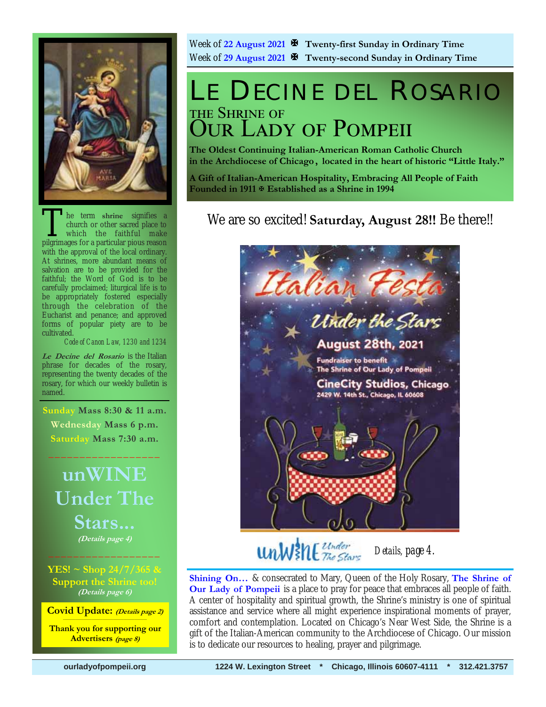

he term shrine signifies a church or other sacred place to which the faithful make pilgrimages for a particular pious reason with the approval of the local ordinary. At shrines, more abundant means of salvation are to be provided for the faithful; the Word of God is to be carefully proclaimed; liturgical life is to be appropriately fostered especially through the celebration of the Eucharist and penance; and approved forms of popular piety are to be cultivated.

*Code of Canon Law, 1230 and 1234* 

**Le Decine del Rosario** is the Italian phrase for decades of the rosary, representing the twenty decades of the rosary, for which our weekly bulletin is named.

**Sunday Mass 8:30 & 11 a.m. Wednesday Mass 6 p.m. Saturday Mass 7:30 a.m.** 

 $\frac{1}{2}$  ,  $\frac{1}{2}$  ,  $\frac{1}{2}$  ,  $\frac{1}{2}$  ,  $\frac{1}{2}$  ,  $\frac{1}{2}$  ,  $\frac{1}{2}$  ,  $\frac{1}{2}$ 

## **unWINE Under The Stars... (Details page 4)**  $\frac{1}{2}$  , and the set of the set of the set of the set of the set of the set of the set of the set of the set of the set of the set of the set of the set of the set of the set of the set of the set of the set of the set

**YES! ~ Shop 24/7/365 & Support the Shrine too! (Details page 6)**

**Covid Update: (Details page 2)** 

**Thank you for supporting our Advertisers (page 8)**

Week of **22 August 2021 Twenty-first Sunday in Ordinary Time** Week of **29 August 2021 Twenty-second Sunday in Ordinary Time** 

## LE DECINE DEL ROSARIO THE SHRINE OF **OUR LADY OF POMPEII**

**The Oldest Continuing Italian-American Roman Catholic Church in the Archdiocese of Chicago , located in the heart of historic "Little Italy."** 

**A Gift of Italian-American Hospitality, Embracing All People of Faith Founded in 1911 Established as a Shrine in 1994**

### We are so excited! **Saturday, August 28!!** Be there!!



## *Details, page 4.*

**Shining On…** & consecrated to Mary, Queen of the Holy Rosary, **The Shrine of Our Lady of Pompeii** is a place to pray for peace that embraces all people of faith. A center of hospitality and spiritual growth, the Shrine's ministry is one of spiritual assistance and service where all might experience inspirational moments of prayer, comfort and contemplation. Located on Chicago's Near West Side, the Shrine is a gift of the Italian-American community to the Archdiocese of Chicago. Our mission is to dedicate our resources to healing, prayer and pilgrimage.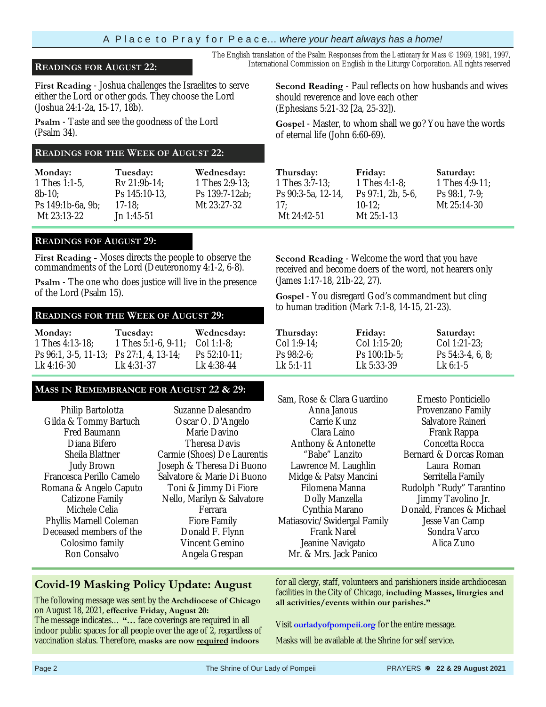#### A P l a c e t o P r a y f o r P e a c e… *where your heart always has a home!*

**First Reading** - Joshua challenges the Israelites to serve either the Lord or other gods. They choose the Lord (Joshua 24:1-2a, 15-17, 18b).

**Psalm** - Taste and see the goodness of the Lord (Psalm 34).

#### **READINGS FOR THE WEEK OF AUGUST 22:**

| Monday:           | Tuesday:      | Wednesday:     |
|-------------------|---------------|----------------|
| 1 Thes 1:1-5.     | Rv 21:9b-14:  | 1 Thes 2:9-13: |
| $8b-10$           | Ps 145:10-13. | Ps 139:7-12ab: |
| Ps 149:1b-6a, 9b; | $17-18$ :     | Mt 23:27-32    |
| Mt 23:13-22       | $Jn$ 1:45-51  |                |

#### **READINGS FOF AUGUST 29:**

**First Reading -** Moses directs the people to observe the commandments of the Lord (Deuteronomy 4:1-2, 6-8).

**Psalm** - The one who does justice will live in the presence of the Lord (Psalm 15).

## to human tradition (Mark 7:1-8, 14-15, 21-23). **READINGS FOR THE WEEK OF AUGUST 29:**

| Monday:                                 | Tuesday:                                | Wednesday:      |
|-----------------------------------------|-----------------------------------------|-----------------|
| 1 Thes 4:13-18:                         | 1 Thes $5:1-6$ , $9-11$ ; Col $1:1-8$ ; |                 |
| Ps 96:1, 3-5, 11-13; Ps 27:1, 4, 13-14; |                                         | Ps $52:10-11$ ; |
| Lk 4:16-30                              | Lk 4:31-37                              | Lk 4:38-44      |

#### **MASS IN REMEMBRANCE FOR AUGUST 22 & 29:**

| Philip Bartolotta        | Suzanne Dalesandro          |
|--------------------------|-----------------------------|
|                          |                             |
| Gilda & Tommy Bartuch    | Oscar O. D'Angelo           |
| Fred Baumann             | Marie Davino                |
| Diana Bifero             | Theresa Davis               |
| Sheila Blattner          | Carmie (Shoes) De Laurentis |
| <b>Judy Brown</b>        | Joseph & Theresa Di Buono   |
| Francesca Perillo Camelo | Salvatore & Marie Di Buono  |
| Romana & Angelo Caputo   | Toni & Jimmy Di Fiore       |
| Catizone Family          | Nello, Marilyn & Salvatore  |
| Michele Celia            | Ferrara                     |
| Phyllis Marnell Coleman  | Fiore Family                |
| Deceased members of the  | Donald F. Flynn             |
| Colosimo family          | Vincent Gemino              |
| Ron Consalvo             | Angela Grespan              |
|                          |                             |

#### **Covid-19 Masking Policy Update: August**

 The following message was sent by the **Archdiocese of Chicago**  on August 18, 2021, **effective Friday, August 20:**  The message indicates… **"…** face coverings are required in all indoor public spaces for all people over the age of 2, regardless of vaccination status. Therefore, **masks are now required indoors** 

The English translation of the Psalm Responses from the *Lectionary for Mass* © 1969, 1981, 1997, **READINGS FOR AUGUST 22:** International Commission on English in the Liturgy Corporation. All rights reserved

> **Second Reading** - Paul reflects on how husbands and wives should reverence and love each other (Ephesians 5:21-32 [2a, 25-32]).

> **Gospel** - Master, to whom shall we go? You have the words of eternal life (John 6:60-69).

> > $97:1, 2b, 5-6,$

| Friday:        |
|----------------|
| 1 Thes 4:1-8:  |
| Ps 97:1, 2b, 5 |
| $10-12$ ;      |
| Mt 25:1-13     |
|                |

**Saturday:** 1 Thes 4:9-11; Ps 98:1, 7-9; Mt 25:14-30

**Second Reading** - Welcome the word that you have received and become doers of the word, not hearers only (James 1:17-18, 21b-22, 27).

**Gospel** - You disregard God's commandment but cling

| Thursday:   | Friday:         | Saturday:           |
|-------------|-----------------|---------------------|
| Col 1:9-14: | $Col 1:15-20$ ; | Col 1:21-23:        |
| $Ps 98:2-6$ | Ps $100:1b-5$ ; | Ps $54:3-4, 6, 8$ ; |
| $Lk$ 5:1-11 | Lk 5:33-39      | $Lk$ 6:1-5          |

| Sam, Rose & Clara Guardino  |
|-----------------------------|
| Anna Janous                 |
| Carrie Kunz                 |
| Clara Laino                 |
| Anthony & Antonette         |
| "Babe" Lanzito              |
| Lawrence M. Laughlin        |
| Midge & Patsy Mancini       |
| Filomena Manna              |
| Dolly Manzella              |
| Cynthia Marano              |
| Matiasovic/Swidergal Family |
| Frank Narel                 |
| Jeanine Navigato            |
| Mr. & Mrs. Jack Panico      |

Ernesto Ponticiello Provenzano Family Salvatore Raineri Frank Rappa Concetta Rocca Bernard & Dorcas Roman Laura Roman Serritella Family Rudolph "Rudy" Tarantino Jimmy Tavolino Jr. Donald, Frances & Michael Jesse Van Camp Sondra Varco Alica Zuno

for all clergy, staff, volunteers and parishioners inside archdiocesan facilities in the City of Chicago, **including Masses, liturgies and all activities/events within our parishes."** 

Visit **ourladyofpompeii.org** for the entire message.

Masks will be available at the Shrine for self service.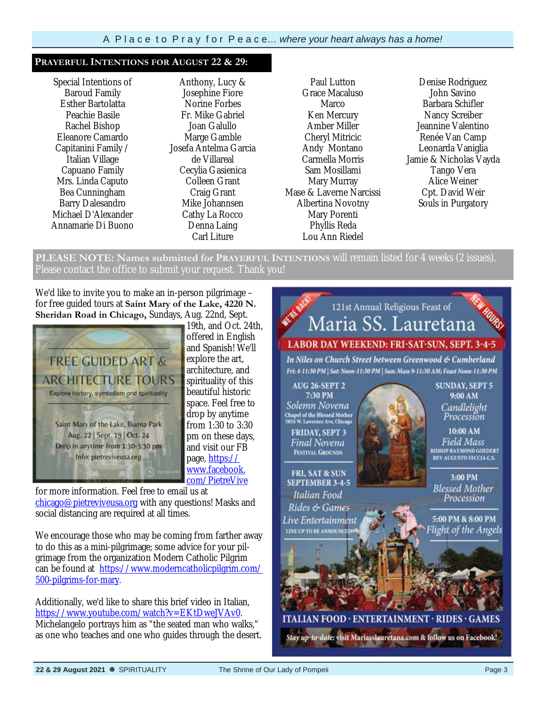#### **PRAYERFUL INTENTIONS FOR AUGUST 22 & 29:**

Special Intentions of Baroud Family Esther Bartolatta Peachie Basile Rachel Bishop Eleanore Camardo Capitanini Family / Italian Village Capuano Family Mrs. Linda Caputo Bea Cunningham Barry Dalesandro Michael D'Alexander Annamarie Di Buono

Anthony, Lucy & Josephine Fiore Norine Forbes Fr. Mike Gabriel Joan Galullo Marge Gamble Josefa Antelma Garcia de Villareal Cecylia Gasienica Colleen Grant Craig Grant Mike Johannsen Cathy La Rocco Denna Laing Carl Liture

Paul Lutton Grace Macaluso **Marco** Ken Mercury Amber Miller Cheryl Mitricic Andy Montano Carmella Morris Sam Mosillami Mary Murray Mase & Laverne Narcissi Albertina Novotny Mary Porenti Phyllis Reda Lou Ann Riedel

Denise Rodriguez John Savino Barbara Schifler Nancy Screiber Jeannine Valentino Renée Van Camp Leonarda Vaniglia Jamie & Nicholas Vayda Tango Vera Alice Weiner Cpt. David Weir Souls in Purgatory

**PLEASE NOTE: Names submitted for PRAYERFUL INTENTIONS** will remain listed for 4 weeks (2 issues). Please contact the office to submit your request. Thank you!

We'd like to invite you to make an in-person pilgrimage – for free guided tours at **Saint Mary of the Lake, 4220 N. Sheridan Road in Chicago,** Sundays, Aug. 22nd, Sept.



19th, and Oct. 24th, offered in English and Spanish! We'll explore the art, architecture, and spirituality of this beautiful historic space. Feel free to drop by anytime from 1:30 to 3:30 pm on these days, and visit our FB page, https:// www.facebook. com/PietreVive

for more information. Feel free to email us at chicago@pietreviveusa.org with any questions! Masks and social distancing are required at all times.

We encourage those who may be coming from farther away to do this as a mini-pilgrimage; some advice for your pilgrimage from the organization Modern Catholic Pilgrim can be found at https://www.moderncatholicpilgrim.com/ 500-pilgrims-for-mary.

Additionally, we'd like to share this brief video in Italian, https://www.youtube.com/watch?v=EKtDweJVAv0. Michelangelo portrays him as "the seated man who walks," as one who teaches and one who guides through the desert.

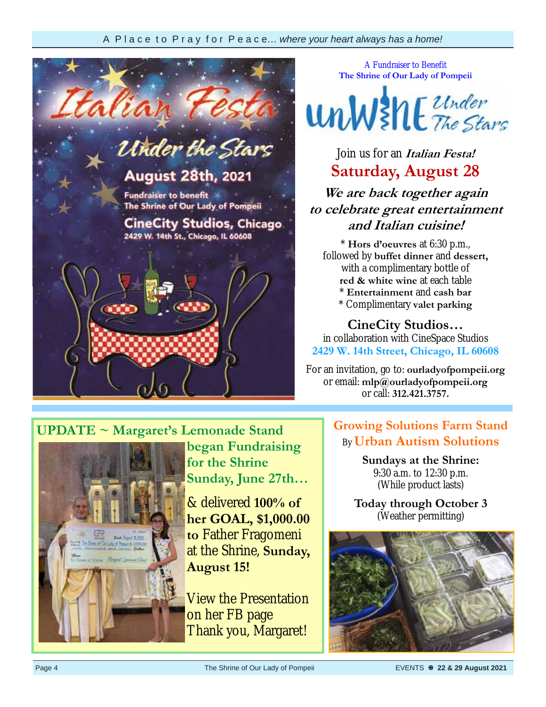

A Fundraiser to Benefit **The Shrine of Our Lady of Pompeii** 



Join us for an **Italian Festa! Saturday, August 28** 

**We are back together again to celebrate great entertainment and Italian cuisine!** 

\* **Hors d'oeuvres** at 6:30 p.m., followed by **buffet dinner** and **dessert,**  with a complimentary bottle of **red & white wine** at each table \* **Entertainment** and **cash bar** \* Complimentary **valet parking**

**CineCity Studios…** 

in collaboration with CineSpace Studios **2429 W. 14th Street, Chicago, IL 60608** 

For an invitation, go to: **ourladyofpompeii.org** or email: **mlp@ourladyofpompeii.org**  or call: **312.421.3757.** 

#### **UPDATE ~ Margaret's Lemonade Stand began Fundraising**

**for the Shrine Sunday, June 27th…** 

& delivered **100% of her GOAL, \$1,000.00 to** Father Fragomeni at the Shrine, **Sunday, August 15!** 

View the Presentation on her FB page Thank you, Margaret!

#### **Growing Solutions Farm Stand**  By **Urban Autism Solutions**

**Sundays at the Shrine:**  9:30 a.m. to 12:30 p.m. (While product lasts)

**Today through October 3**  (Weather permitting)

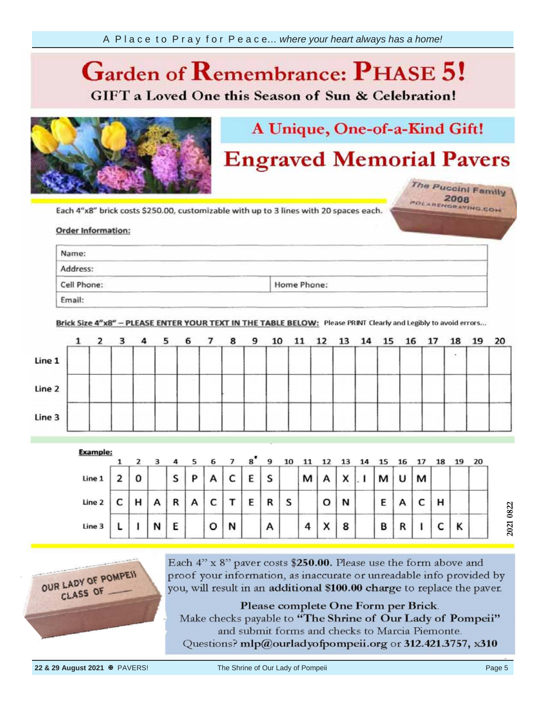#### **Garden of**  *Ca* **GIFT** a Loved One this Season of Sun & Celebration!



## A Unique, One-of-a-Kind Gift!

## **Engraved Memorial Pavers**

The Puccini Family POLARENGRAVING.COM

your information, Each 4"x8"

#### Order info provided by the provided by the provided by the property of the property of the property of the property of the property of the property of the property of the property of the property of the property of the property of th

| Name:                                                                                                                                                                                                                                     |                                                                                                                                                                                                                                                                                                                                                        |  |
|-------------------------------------------------------------------------------------------------------------------------------------------------------------------------------------------------------------------------------------------|--------------------------------------------------------------------------------------------------------------------------------------------------------------------------------------------------------------------------------------------------------------------------------------------------------------------------------------------------------|--|
| the company of the company of the company of the company of the company of the company of the company of the company of the company of the company of the company of the company of the company of the company of the company<br>Address: | and the control of the control of the con-<br><u> Karl Barbara (Karl Barbara) (Karl Barbara) (Karl Barbara) (Karl Barbara) (Karl Barbara) (Karl Barbara) (Karl Barbara) (Karl Barbara) (Karl Barbara) (Karl Barbara) (Karl Barbara) (Karl Barbara) (Karl Barbara) (Karl Barbar</u><br>and the state of the control of<br><b>State of the Company's</b> |  |
| and the property of the control of the property service and the property of the control of<br>Cell Phone:                                                                                                                                 | <u> San American State State State Sta</u><br>and the control of the control of the control of the control of the control of<br>Home Phone:                                                                                                                                                                                                            |  |

Brick Size 4"x8" - PLEASE ENTER YOUR TEXT IN THE TABLE BELOW: Please PRINT Clearly and Legibly to avoid errors...

|        | $1\quad 2$ | 3 |       | 4 <sub>5</sub> | 6 7 | 89 | 10 |  | 11 12 13 14 15 16 17 |  |  | 18 | 19 20 |  |
|--------|------------|---|-------|----------------|-----|----|----|--|----------------------|--|--|----|-------|--|
| Line 1 |            |   |       |                |     |    |    |  |                      |  |  |    |       |  |
| Line 2 |            |   | ----- |                |     |    |    |  |                      |  |  |    |       |  |
| Line 3 |            |   |       |                |     |    |    |  |                      |  |  |    |       |  |

| <b>Example:</b> |   |   |   |   |   |   | $\mathbf{a}^{\bullet}$ | 9 |   |   |           |   |   |   |   |   |   | 20 |
|-----------------|---|---|---|---|---|---|------------------------|---|---|---|-----------|---|---|---|---|---|---|----|
| Line 1          | 0 |   | S | P | А | c | E                      | S |   | м | А         | X | м | υ | м |   |   |    |
| Line 2          | н | А | R | А | c |   | E                      | R | s |   | o         | N | Ε |   | ֊ | н |   |    |
| Line 3          |   | N | E |   | o | N |                        | А |   | 4 | $\lambda$ | 8 | B | R |   |   | Κ |    |



Each 4" x 8" paver costs \$250.00. Please use the form above and proof your information, as inaccurate or unreadable info provided by you, will result in an additional \$100.00 charge to replace the paver.

Please complete One Form per Brick. Make checks payable to "The Shrine of Our Lady of Pompeii" and submit forms and checks to Marcia Piemonte. Questions? mlp@ourladyofpompeii.org or 312.421.3757, x310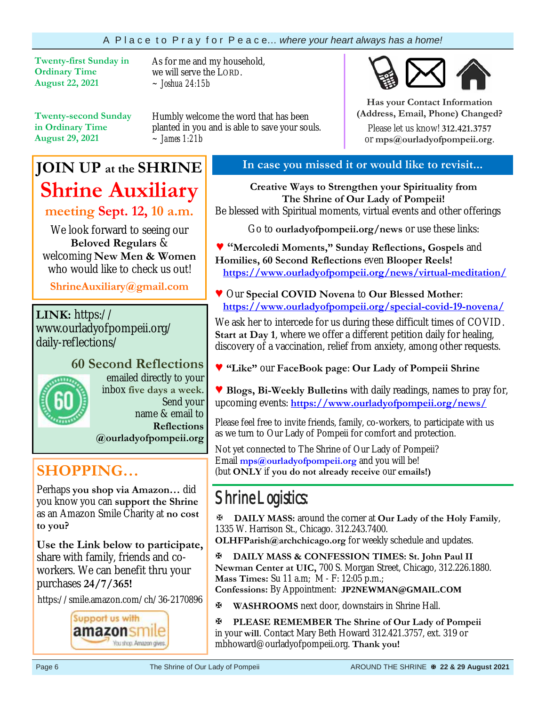#### A P l a c e t o P r a y f o r P e a c e… *where your heart always has a home!*

**Twenty-first Sunday in Ordinary Time August 22, 2021** 

As for me and my household, we will serve the LORD. *~ Joshua 24:15b* 

**Twenty-second Sunday in Ordinary Time August 29, 2021**

Humbly welcome the word that has been planted in you and is able to save your souls. *~ James 1:21b*

## **JOIN UP at the SHRINE Shrine Auxiliary**

**meeting Sept. 12, 10 a.m.**

We look forward to seeing our **Beloved Regulars** & welcoming **New Men & Women**  who would like to check us out!

**ShrineAuxiliary@gmail.com**

**LINK:** https:// www.ourladyofpompeii.org/ daily-reflections/

# **60 Second Reflections**

emailed directly to your inbox **five days a week**. Send your name & email to **Reflections @ourladyofpompeii.org** 

**SHOPPING…** 

Perhaps **you shop via Amazon…** did you know you can **support the Shrine**  as an Amazon Smile Charity at **no cost to you?** 

**Use the Link below to participate,** share with family, friends and coworkers. We can benefit thru your purchases **24/7/365!**

https://smile.amazon.com/ch/36-2170896



#### **In case you missed it or would like to revisit...**

**Creative Ways to Strengthen your Spirituality from The Shrine of Our Lady of Pompeii!**  Be blessed with Spiritual moments, virtual events and other offerings

Go to **ourladyofpompeii.org/news** or use these links:

**♥ "Mercoledi Moments," Sunday Reflections, Gospels** and **Homilies, 60 Second Reflections** even **Blooper Reels! https://www.ourladyofpompeii.org/news/virtual-meditation/** 

**♥** Our **Special COVID Novena** to **Our Blessed Mother**:  **https://www.ourladyofpompeii.org/special-covid-19-novena/** 

We ask her to intercede for us during these difficult times of COVID. **Start at Day 1**, where we offer a different petition daily for healing, discovery of a vaccination, relief from anxiety, among other requests.

**♥ "Like"** our **FaceBook page**: **Our Lady of Pompeii Shrine** 

**♥ Blogs, Bi-Weekly Bulletins** with daily readings, names to pray for, upcoming events: **https://www.ourladyofpompeii.org/news/** 

Please feel free to invite friends, family, co-workers, to participate with us as we turn to Our Lady of Pompeii for comfort and protection.

Not yet connected to The Shrine of Our Lady of Pompeii? Email **mps@ourladyofpompeii.org** and you will be! (but **ONLY** if **you do not already receive** our **emails!)**

## Shrine Logistics:

**DAILY MASS:** around the corner at **Our Lady of the Holy Family**, 1335 W. Harrison St., Chicago. 312.243.7400.

**OLHFParish@archchicago.org** for weekly schedule and updates.

**DAILY MASS & CONFESSION TIMES: St. John Paul II Newman Center at UIC,** 700 S. Morgan Street, Chicago, 312.226.1880. **Mass Times:** Su 11 a.m; M - F: 12:05 p.m.;

**Confessions:** By Appointment: **JP2NEWMAN@GMAIL.COM**

**WASHROOMS** next door, downstairs in Shrine Hall.

**PLEASE REMEMBER The Shrine of Our Lady of Pompeii**  in your **will**. Contact Mary Beth Howard 312.421.3757, ext. 319 or mbhoward@ourladyofpompeii.org. **Thank you!** 



**Has your Contact Information (Address, Email, Phone) Changed?**

Please let us know! **312.421.3757**  or **mps@ourladyofpompeii.org**.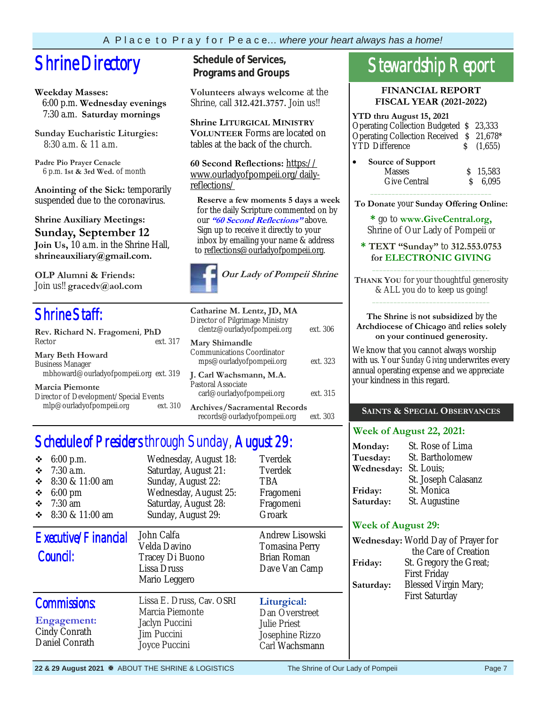## **Shrine Directory** Schedule of Services,

#### **Weekday Masses:**

 6:00 p.m. **Wednesday evenings** 7:30 a.m. **Saturday mornings**

**Sunday Eucharistic Liturgies:** 8:30 a.m. & 11 a.m.

**Padre Pio Prayer Cenacle** 6 p.m. **1st & 3rd Wed.** of month

**Anointing of the Sick:** temporarily suspended due to the coronavirus.

**Shrine Auxiliary Meetings: Sunday, September 12 Join Us,** 10 a.m. in the Shrine Hall, **shrineauxiliary@gmail.com.** 

**OLP Alumni & Friends:**  Join us!! **gracedv@aol.com** 

## Shrine Staff:

| Rev. Richard N. Fragomeni, PhD         |          |  |  |  |  |  |  |
|----------------------------------------|----------|--|--|--|--|--|--|
| Rector                                 | ext. 317 |  |  |  |  |  |  |
| <b>Mary Beth Howard</b>                |          |  |  |  |  |  |  |
| <b>Business Manager</b>                |          |  |  |  |  |  |  |
| mbhoward@ourladyofpompeii.org ext. 319 |          |  |  |  |  |  |  |
| <b>Marcia Piemonte</b>                 |          |  |  |  |  |  |  |
| Director of Development/Special Events |          |  |  |  |  |  |  |
| mlp@ourladyofpompeii.org               | ext. 310 |  |  |  |  |  |  |

**Programs and Groups**

**Volunteers always welcome** at the Shrine, call **312.421.3757.** Join us!!

**Shrine LITURGICAL MINISTRY VOLUNTEER** Forms are located on tables at the back of the church.

**60 Second Reflections:** https:// www.ourladyofpompeii.org/dailyreflections/

 **Reserve a few moments 5 days a week**  for the daily Scripture commented on by our **"60 Second Reflections"** above. Sign up to receive it directly to your inbox by emailing your name & address to reflections@ourladyofpompeii.org.



| Catharine M. Lentz, JD, MA<br>Director of Pilgrimage Ministry<br>clentz@ourladyofpompeii.org | ext. 306 |
|----------------------------------------------------------------------------------------------|----------|
| Mary Shimandle<br>Communications Coordinator<br>mps@ourladyofpompeii.org                     | ext. 323 |
| J. Carl Wachsmann, M.A.<br>Pastoral Associate<br>carl@ourladyofpompeii.org                   | ext. 315 |
| Archives/Sacramental Records<br>records@ourladyofpompeii.org                                 | ext. 303 |

Schedule of Presiders through Sunday, August 29:

| $6:00$ p.m.<br>❖<br>$\div$ 7:30 a.m.<br>8:30 & 11:00 am<br>❖<br>$6:00 \text{ pm}$<br>❖<br>$\div$ 7:30 am<br>$\div$ 8:30 & 11:00 am | Wednesday, August 18:<br>Saturday, August 21:<br>Sunday, August 22:<br>Wednesday, August 25:<br>Saturday, August 28:<br>Sunday, August 29: | Tverdek<br>Tverdek<br><b>TBA</b><br>Fragomeni<br>Fragomeni<br>Groark               | Tuesday:<br>Wednesday:<br>Friday:<br>Saturday:<br><b>Week of August 29:</b> | St. Bartholon<br>St. Louis;<br>St. Joseph Ca<br>St. Monica<br>St. Augustine     |  |  |
|------------------------------------------------------------------------------------------------------------------------------------|--------------------------------------------------------------------------------------------------------------------------------------------|------------------------------------------------------------------------------------|-----------------------------------------------------------------------------|---------------------------------------------------------------------------------|--|--|
| Executive/Financial<br>Council:                                                                                                    | John Calfa<br>Velda Davino<br>Tracey Di Buono<br>Lissa Druss<br>Mario Leggero                                                              | Andrew Lisowski<br>Tomasina Perry<br>Brian Roman<br>Dave Van Camp                  | Wednesday: World Day of<br>Friday:<br>Saturday:                             | the Care of 0<br>St. Gregory th<br><b>First Friday</b><br><b>Blessed Virgin</b> |  |  |
| <b>Commissions:</b><br>Engagement:<br>Cindy Conrath<br>Daniel Conrath                                                              | Lissa E. Druss, Cav. OSRI<br>Marcia Piemonte<br>Jaclyn Puccini<br>Jim Puccini<br>Joyce Puccini                                             | Liturgical:<br>Dan Overstreet<br>Julie Priest<br>Josephine Rizzo<br>Carl Wachsmann |                                                                             | <b>First Saturday</b>                                                           |  |  |

## Stewardship Report

**FINANCIAL REPORT FISCAL YEAR (2021-2022)** 

| YTD thru August 15, 2021                 |              |
|------------------------------------------|--------------|
| Operating Collection Budgeted \$23,333   |              |
| Operating Collection Received \$ 21,678* |              |
| <b>YTD</b> Difference                    | $\S$ (1,655) |
| Source of Support<br><b>Masses</b>       | \$15,583     |

Give Central  $\qquad \qquad$  \$ 6.095  $\overline{\phantom{a}}$  ,  $\overline{\phantom{a}}$  ,  $\overline{\phantom{a}}$  ,  $\overline{\phantom{a}}$  ,  $\overline{\phantom{a}}$  ,  $\overline{\phantom{a}}$  ,  $\overline{\phantom{a}}$  ,  $\overline{\phantom{a}}$  ,  $\overline{\phantom{a}}$  ,  $\overline{\phantom{a}}$  ,  $\overline{\phantom{a}}$  ,  $\overline{\phantom{a}}$  ,  $\overline{\phantom{a}}$  ,  $\overline{\phantom{a}}$  ,  $\overline{\phantom{a}}$  ,  $\overline{\phantom{a}}$ 

**To Donate** your **Sunday Offering Online:** 

**\*** go to **www.GiveCentral.org,** Shrine of Our Lady of Pompeii *or* 

**\* TEXT "Sunday"** to **312.553.0753 for ELECTRONIC GIVING** \_\_\_\_\_\_\_\_\_\_\_\_\_\_\_\_\_\_\_\_\_\_\_\_\_\_\_\_\_\_\_\_\_

**THANK YOU** for your thoughtful generosity & ALL you do to keep us going! \_\_\_\_\_\_\_\_\_\_\_\_\_\_\_\_\_\_\_\_\_\_\_\_\_\_\_\_\_\_\_\_\_

#### **The Shrine** is **not subsidized** by the **Archdiocese of Chicago** and **relies solely on your continued generosity.**

We know that you cannot always worship with us. Your *Sunday Giving* underwrites every annual operating expense and we appreciate your kindness in this regard.

#### **SAINTS & SPECIAL OBSERVANCES**

#### **Week of August 22, 2021:**

| Monday:<br>Tuesday: | St. Rose of Lima<br>St. Bartholomew |
|---------------------|-------------------------------------|
| Wednesday:          | St. Louis;                          |
|                     | St. Joseph Calasanz                 |
| Friday:             | St. Monica                          |
| Saturday:           | St. Augustine                       |

#### **Week of August 29:**

|           | Wednesday: World Day of Prayer for |
|-----------|------------------------------------|
|           | the Care of Creation               |
| Friday:   | St. Gregory the Great;             |
|           | <b>First Friday</b>                |
| Saturday: | <b>Blessed Virgin Mary;</b>        |
|           | <b>First Saturday</b>              |